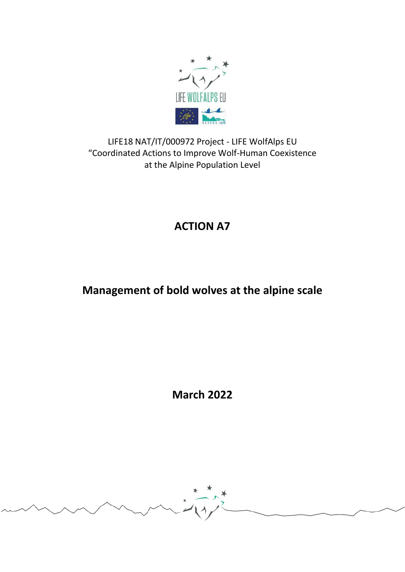

LIFE18 NAT/IT/000972 Project - LIFE WolfAlps EU "Coordinated Actions to Improve Wolf-Human Coexistence at the Alpine Population Level

# **ACTION A7**

# **Management of bold wolves at the alpine scale**

**March 2022**

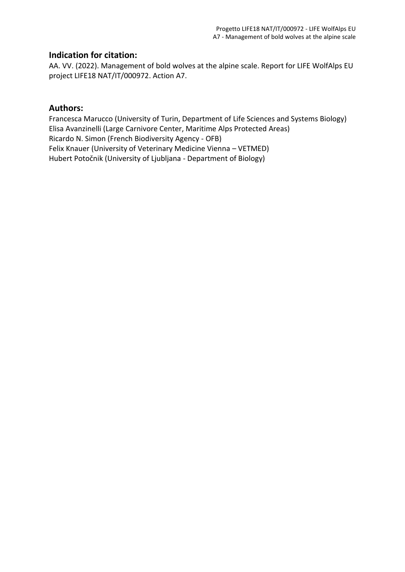#### **Indication for citation:**

AA. VV. (2022). Management of bold wolves at the alpine scale. Report for LIFE WolfAlps EU project LIFE18 NAT/IT/000972. Action A7.

#### **Authors:**

Francesca Marucco (University of Turin, Department of Life Sciences and Systems Biology) Elisa Avanzinelli (Large Carnivore Center, Maritime Alps Protected Areas) Ricardo N. Simon (French Biodiversity Agency - OFB) Felix Knauer (University of Veterinary Medicine Vienna – VETMED) Hubert Potočnik (University of Ljubljana - Department of Biology)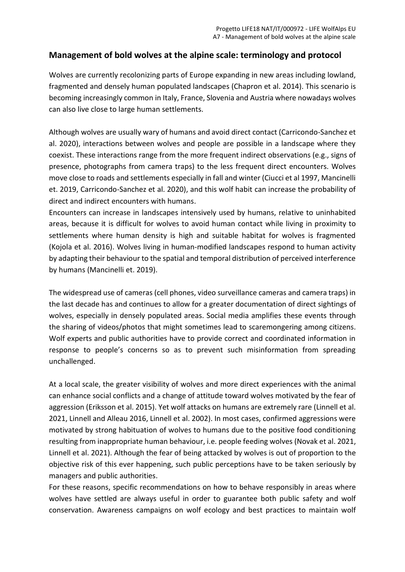### **Management of bold wolves at the alpine scale: terminology and protocol**

Wolves are currently recolonizing parts of Europe expanding in new areas including lowland, fragmented and densely human populated landscapes (Chapron et al. 2014). This scenario is becoming increasingly common in Italy, France, Slovenia and Austria where nowadays wolves can also live close to large human settlements.

Although wolves are usually wary of humans and avoid direct contact (Carricondo-Sanchez et al. 2020), interactions between wolves and people are possible in a landscape where they coexist. These interactions range from the more frequent indirect observations (e.g., signs of presence, photographs from camera traps) to the less frequent direct encounters. Wolves move close to roads and settlements especially in fall and winter (Ciucci et al 1997, Mancinelli et. 2019, Carricondo-Sanchez et al. 2020), and this wolf habit can increase the probability of direct and indirect encounters with humans.

Encounters can increase in landscapes intensively used by humans, relative to uninhabited areas, because it is difficult for wolves to avoid human contact while living in proximity to settlements where human density is high and suitable habitat for wolves is fragmented (Kojola et al. 2016). Wolves living in human-modified landscapes respond to human activity by adapting their behaviour to the spatial and temporal distribution of perceived interference by humans (Mancinelli et. 2019).

The widespread use of cameras (cell phones, video surveillance cameras and camera traps) in the last decade has and continues to allow for a greater documentation of direct sightings of wolves, especially in densely populated areas. Social media amplifies these events through the sharing of videos/photos that might sometimes lead to scaremongering among citizens. Wolf experts and public authorities have to provide correct and coordinated information in response to people's concerns so as to prevent such misinformation from spreading unchallenged.

At a local scale, the greater visibility of wolves and more direct experiences with the animal can enhance social conflicts and a change of attitude toward wolves motivated by the fear of aggression (Eriksson et al. 2015). Yet wolf attacks on humans are extremely rare (Linnell et al. 2021, Linnell and Alleau 2016, Linnell et al. 2002). In most cases, confirmed aggressions were motivated by strong habituation of wolves to humans due to the positive food conditioning resulting from inappropriate human behaviour, i.e. people feeding wolves (Novak et al. 2021, Linnell et al. 2021). Although the fear of being attacked by wolves is out of proportion to the objective risk of this ever happening, such public perceptions have to be taken seriously by managers and public authorities.

For these reasons, specific recommendations on how to behave responsibly in areas where wolves have settled are always useful in order to guarantee both public safety and wolf conservation. Awareness campaigns on wolf ecology and best practices to maintain wolf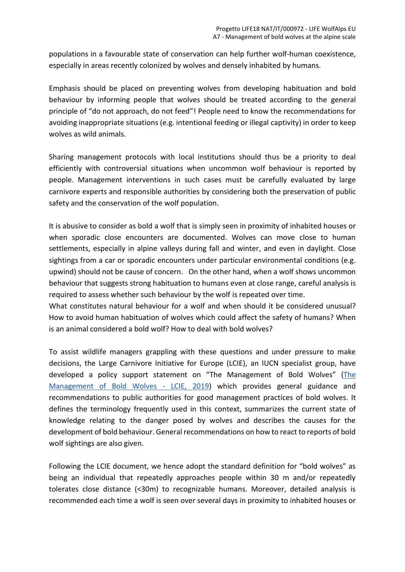populations in a favourable state of conservation can help further wolf-human coexistence, especially in areas recently colonized by wolves and densely inhabited by humans.

Emphasis should be placed on preventing wolves from developing habituation and bold behaviour by informing people that wolves should be treated according to the general principle of "do not approach, do not feed"! People need to know the recommendations for avoiding inappropriate situations (e.g. intentional feeding or illegal captivity) in order to keep wolves as wild animals.

Sharing management protocols with local institutions should thus be a priority to deal efficiently with controversial situations when uncommon wolf behaviour is reported by people. Management interventions in such cases must be carefully evaluated by large carnivore experts and responsible authorities by considering both the preservation of public safety and the conservation of the wolf population.

It is abusive to consider as bold a wolf that is simply seen in proximity of inhabited houses or when sporadic close encounters are documented. Wolves can move close to human settlements, especially in alpine valleys during fall and winter, and even in daylight. Close sightings from a car or sporadic encounters under particular environmental conditions (e.g. upwind) should not be cause of concern. On the other hand, when a wolf shows uncommon behaviour that suggests strong habituation to humans even at close range, careful analysis is required to assess whether such behaviour by the wolf is repeated over time.

What constitutes natural behaviour for a wolf and when should it be considered unusual? How to avoid human habituation of wolves which could affect the safety of humans? When is an animal considered a bold wolf? How to deal with bold wolves?

To assist wildlife managers grappling with these questions and under pressure to make decisions, the Large Carnivore Initiative for Europe (LCIE), an IUCN specialist group, have developed a policy support statement on ["The Management of Bold Wolves"](http://www2.nina.no/lcie_new/pdf/636870453845842163_PPS_bold%20wolves.pdf) (The [Management of Bold Wolves - LCIE, 2019\)](https://lciepub.nina.no/pdf/636870453845842163_PPS_bold%20wolves.pdf) which provides general guidance and recommendations to public authorities for good management practices of bold wolves. It defines the terminology frequently used in this context, summarizes the current state of knowledge relating to the danger posed by wolves and describes the causes for the development of bold behaviour. General recommendations on how to react to reports of bold wolf sightings are also given.

Following the LCIE document, we hence adopt the standard definition for "bold wolves" as being an individual that repeatedly approaches people within 30 m and/or repeatedly tolerates close distance (<30m) to recognizable humans. Moreover, detailed analysis is recommended each time a wolf is seen over several days in proximity to inhabited houses or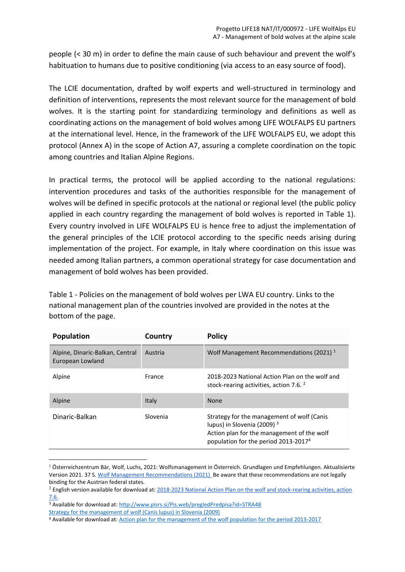people (< 30 m) in order to define the main cause of such behaviour and prevent the wolf's habituation to humans due to positive conditioning (via access to an easy source of food).

The LCIE documentation, drafted by wolf experts and well-structured in terminology and definition of interventions, represents the most relevant source for the management of bold wolves. It is the starting point for standardizing terminology and definitions as well as coordinating actions on the management of bold wolves among LIFE WOLFALPS EU partners at the international level. Hence, in the framework of the LIFE WOLFALPS EU, we adopt this protocol (Annex A) in the scope of Action A7, assuring a complete coordination on the topic among countries and Italian Alpine Regions.

In practical terms, the protocol will be applied according to the national regulations: intervention procedures and tasks of the authorities responsible for the management of wolves will be defined in specific protocols at the national or regional level (the public policy applied in each country regarding the management of bold wolves is reported in Table 1). Every country involved in LIFE WOLFALPS EU is hence free to adjust the implementation of the general principles of the LCIE protocol according to the specific needs arising during implementation of the project. For example, in Italy where coordination on this issue was needed among Italian partners, a common operational strategy for case documentation and management of bold wolves has been provided.

Table 1 - Policies on the management of bold wolves per LWA EU country. Links to the national management plan of the countries involved are provided in the notes at the bottom of the page.

| <b>Population</b>                                   | Country  | <b>Policy</b>                                                                                                                                                                          |
|-----------------------------------------------------|----------|----------------------------------------------------------------------------------------------------------------------------------------------------------------------------------------|
| Alpine, Dinaric-Balkan, Central<br>European Lowland | Austria  | Wolf Management Recommendations (2021) <sup>1</sup>                                                                                                                                    |
| Alpine                                              | France   | 2018-2023 National Action Plan on the wolf and<br>stock-rearing activities, action 7.6. <sup>2</sup>                                                                                   |
| Alpine                                              | Italy    | <b>None</b>                                                                                                                                                                            |
| Dinaric-Balkan                                      | Slovenia | Strategy for the management of wolf (Canis<br>lupus) in Slovenia (2009) <sup>3</sup><br>Action plan for the management of the wolf<br>population for the period 2013-2017 <sup>4</sup> |

<sup>&</sup>lt;sup>1</sup> Österreichzentrum Bär, Wolf, Luchs, 2021: Wolfsmanagement in Österreich. Grundlagen und Empfehlungen. Aktualisierte Version 2021. 37 S. [Wolf Management Recommendations \(2021\)](https://baer-wolf-luchs.at/download/OeZ_Wolfsmanagement_Empfehlungen_2021.pdf) Be aware that these recommendations are not legally binding for the Austrian federal states.

<sup>2</sup> English version available for download at[: 2018-2023 National Action Plan on the wolf and stock-rearing activities, action](http://www.auvergne-rhone-alpes.developpement-durable.gouv.fr/2018-2023-french-national-action-plan-on-the-wolf-a14244.html)  [7.6.](http://www.auvergne-rhone-alpes.developpement-durable.gouv.fr/2018-2023-french-national-action-plan-on-the-wolf-a14244.html) 

<sup>&</sup>lt;sup>3</sup> Available for download at: http://www.pisrs.si/Pis.web/pregledPredpisa?id=STRA48

[Strategy for the management of wolf \(Canis lupus\) in Slovenia \(2009\)](https://www.gov.si/assets/ministrstva/MOP/Dokumenti/Narava/Velike-zveri/212ae06755/strategija_ohranjanja_volka.pdf) 

<sup>&</sup>lt;sup>4</sup> Available for download at: Action plan for the management of the wolf population for the period 2013-2017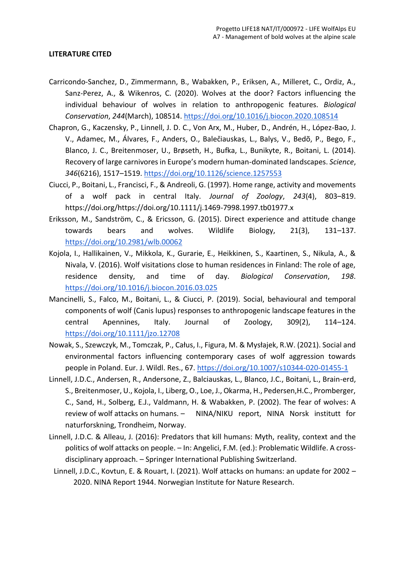#### **LITERATURE CITED**

- Carricondo-Sanchez, D., Zimmermann, B., Wabakken, P., Eriksen, A., Milleret, C., Ordiz, A., Sanz-Perez, A., & Wikenros, C. (2020). Wolves at the door? Factors influencing the individual behaviour of wolves in relation to anthropogenic features. *Biological Conservation*, *244*(March), 108514.<https://doi.org/10.1016/j.biocon.2020.108514>
- Chapron, G., Kaczensky, P., Linnell, J. D. C., Von Arx, M., Huber, D., Andrén, H., López-Bao, J. V., Adamec, M., Álvares, F., Anders, O., Balečiauskas, L., Balys, V., Bedõ, P., Bego, F., Blanco, J. C., Breitenmoser, U., Brøseth, H., Bufka, L., Bunikyte, R., Boitani, L. (2014). Recovery of large carnivores in Europe's modern human-dominated landscapes. *Science*, *346*(6216), 1517–1519.<https://doi.org/10.1126/science.1257553>
- Ciucci, P., Boitani, L., Francisci, F., & Andreoli, G. (1997). Home range, activity and movements of a wolf pack in central Italy. *Journal of Zoology*, *243*(4), 803–819. https://doi.org/https://doi.org/10.1111/j.1469-7998.1997.tb01977.x
- Eriksson, M., Sandström, C., & Ericsson, G. (2015). Direct experience and attitude change towards bears and wolves. Wildlife Biology, 21(3), 131–137. <https://doi.org/10.2981/wlb.00062>
- Kojola, I., Hallikainen, V., Mikkola, K., Gurarie, E., Heikkinen, S., Kaartinen, S., Nikula, A., & Nivala, V. (2016). Wolf visitations close to human residences in Finland: The role of age, residence density, and time of day. *Biological Conservation*, *198*. <https://doi.org/10.1016/j.biocon.2016.03.025>
- Mancinelli, S., Falco, M., Boitani, L., & Ciucci, P. (2019). Social, behavioural and temporal components of wolf (Canis lupus) responses to anthropogenic landscape features in the central Apennines, Italy. Journal of Zoology, 309(2), 114–124. <https://doi.org/10.1111/jzo.12708>
- Nowak, S., Szewczyk, M., Tomczak, P., Całus, I., Figura, M. & Mysłajek, R.W. (2021). Social and environmental factors influencing contemporary cases of wolf aggression towards people in Poland. Eur. J. Wildl. Res., 67.<https://doi.org/10.1007/s10344-020-01455-1>
- Linnell, J.D.C., Andersen, R., Andersone, Z., Balciauskas, L., Blanco, J.C., Boitani, L., Brain-erd, S., Breitenmoser, U., Kojola, I., Liberg, O., Loe, J., Okarma, H., Pedersen,H.C., Promberger, C., Sand, H., Solberg, E.J., Valdmann, H. & Wabakken, P. (2002). The fear of wolves: A review of wolf attacks on humans. – NINA/NIKU report, NINA Norsk institutt for naturforskning, Trondheim, Norway.
- Linnell, J.D.C. & Alleau, J. (2016): Predators that kill humans: Myth, reality, context and the politics of wolf attacks on people. – In: Angelici, F.M. (ed.): Problematic Wildlife. A crossdisciplinary approach. – Springer International Publishing Switzerland.
- Linnell, J.D.C., Kovtun, E. & Rouart, I. (2021). Wolf attacks on humans: an update for 2002 2020. NINA Report 1944. Norwegian Institute for Nature Research.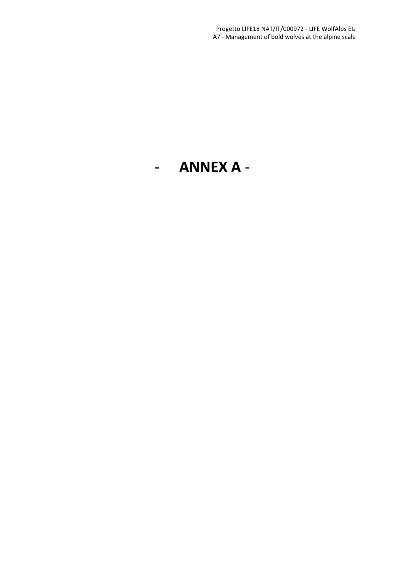# - **ANNEX A** -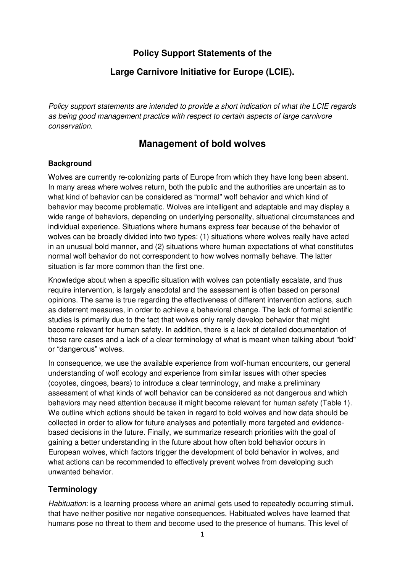# **Policy Support Statements of the**

## **Large Carnivore Initiative for Europe (LCIE).**

Policy support statements are intended to provide a short indication of what the LCIE regards as being good management practice with respect to certain aspects of large carnivore conservation.

# **Management of bold wolves**

#### **Background**

Wolves are currently re-colonizing parts of Europe from which they have long been absent. In many areas where wolves return, both the public and the authorities are uncertain as to what kind of behavior can be considered as "normal" wolf behavior and which kind of behavior may become problematic. Wolves are intelligent and adaptable and may display a wide range of behaviors, depending on underlying personality, situational circumstances and individual experience. Situations where humans express fear because of the behavior of wolves can be broadly divided into two types: (1) situations where wolves really have acted in an unusual bold manner, and (2) situations where human expectations of what constitutes normal wolf behavior do not correspondent to how wolves normally behave. The latter situation is far more common than the first one.

Knowledge about when a specific situation with wolves can potentially escalate, and thus require intervention, is largely anecdotal and the assessment is often based on personal opinions. The same is true regarding the effectiveness of different intervention actions, such as deterrent measures, in order to achieve a behavioral change. The lack of formal scientific studies is primarily due to the fact that wolves only rarely develop behavior that might become relevant for human safety. In addition, there is a lack of detailed documentation of these rare cases and a lack of a clear terminology of what is meant when talking about "bold" or "dangerous" wolves.

In consequence, we use the available experience from wolf-human encounters, our general understanding of wolf ecology and experience from similar issues with other species (coyotes, dingoes, bears) to introduce a clear terminology, and make a preliminary assessment of what kinds of wolf behavior can be considered as not dangerous and which behaviors may need attention because it might become relevant for human safety (Table 1). We outline which actions should be taken in regard to bold wolves and how data should be collected in order to allow for future analyses and potentially more targeted and evidencebased decisions in the future. Finally, we summarize research priorities with the goal of gaining a better understanding in the future about how often bold behavior occurs in European wolves, which factors trigger the development of bold behavior in wolves, and what actions can be recommended to effectively prevent wolves from developing such unwanted behavior.

#### **Terminology**

Habituation: is a learning process where an animal gets used to repeatedly occurring stimuli, that have neither positive nor negative consequences. Habituated wolves have learned that humans pose no threat to them and become used to the presence of humans. This level of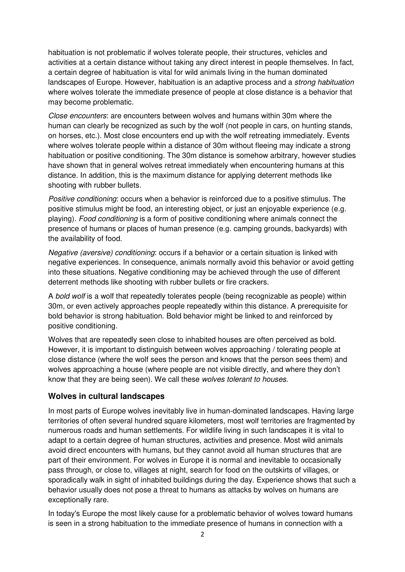habituation is not problematic if wolves tolerate people, their structures, vehicles and activities at a certain distance without taking any direct interest in people themselves. In fact, a certain degree of habituation is vital for wild animals living in the human dominated landscapes of Europe. However, habituation is an adaptive process and a strong habituation where wolves tolerate the immediate presence of people at close distance is a behavior that may become problematic.

Close encounters: are encounters between wolves and humans within 30m where the human can clearly be recognized as such by the wolf (not people in cars, on hunting stands, on horses, etc.). Most close encounters end up with the wolf retreating immediately. Events where wolves tolerate people within a distance of 30m without fleeing may indicate a strong habituation or positive conditioning. The 30m distance is somehow arbitrary, however studies have shown that in general wolves retreat immediately when encountering humans at this distance. In addition, this is the maximum distance for applying deterrent methods like shooting with rubber bullets.

Positive conditioning: occurs when a behavior is reinforced due to a positive stimulus. The positive stimulus might be food, an interesting object, or just an enjoyable experience (e.g. playing). Food conditioning is a form of positive conditioning where animals connect the presence of humans or places of human presence (e.g. camping grounds, backyards) with the availability of food.

Negative (aversive) conditioning: occurs if a behavior or a certain situation is linked with negative experiences. In consequence, animals normally avoid this behavior or avoid getting into these situations. Negative conditioning may be achieved through the use of different deterrent methods like shooting with rubber bullets or fire crackers.

A bold wolf is a wolf that repeatedly tolerates people (being recognizable as people) within 30m, or even actively approaches people repeatedly within this distance. A prerequisite for bold behavior is strong habituation. Bold behavior might be linked to and reinforced by positive conditioning.

Wolves that are repeatedly seen close to inhabited houses are often perceived as bold. However, it is important to distinguish between wolves approaching / tolerating people at close distance (where the wolf sees the person and knows that the person sees them) and wolves approaching a house (where people are not visible directly, and where they don't know that they are being seen). We call these wolves tolerant to houses.

#### **Wolves in cultural landscapes**

In most parts of Europe wolves inevitably live in human-dominated landscapes. Having large territories of often several hundred square kilometers, most wolf territories are fragmented by numerous roads and human settlements. For wildlife living in such landscapes it is vital to adapt to a certain degree of human structures, activities and presence. Most wild animals avoid direct encounters with humans, but they cannot avoid all human structures that are part of their environment. For wolves in Europe it is normal and inevitable to occasionally pass through, or close to, villages at night, search for food on the outskirts of villages, or sporadically walk in sight of inhabited buildings during the day. Experience shows that such a behavior usually does not pose a threat to humans as attacks by wolves on humans are exceptionally rare.

In today's Europe the most likely cause for a problematic behavior of wolves toward humans is seen in a strong habituation to the immediate presence of humans in connection with a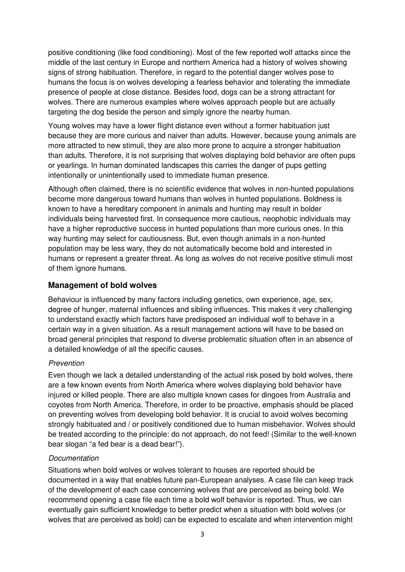positive conditioning (like food conditioning). Most of the few reported wolf attacks since the middle of the last century in Europe and northern America had a history of wolves showing signs of strong habituation. Therefore, in regard to the potential danger wolves pose to humans the focus is on wolves developing a fearless behavior and tolerating the immediate presence of people at close distance. Besides food, dogs can be a strong attractant for wolves. There are numerous examples where wolves approach people but are actually targeting the dog beside the person and simply ignore the nearby human.

Young wolves may have a lower flight distance even without a former habituation just because they are more curious and naiver than adults. However, because young animals are more attracted to new stimuli, they are also more prone to acquire a stronger habituation than adults. Therefore, it is not surprising that wolves displaying bold behavior are often pups or yearlings. In human dominated landscapes this carries the danger of pups getting intentionally or unintentionally used to immediate human presence.

Although often claimed, there is no scientific evidence that wolves in non-hunted populations become more dangerous toward humans than wolves in hunted populations. Boldness is known to have a hereditary component in animals and hunting may result in bolder individuals being harvested first. In consequence more cautious, neophobic individuals may have a higher reproductive success in hunted populations than more curious ones. In this way hunting may select for cautiousness. But, even though animals in a non-hunted population may be less wary, they do not automatically become bold and interested in humans or represent a greater threat. As long as wolves do not receive positive stimuli most of them ignore humans.

#### **Management of bold wolves**

Behaviour is influenced by many factors including genetics, own experience, age, sex, degree of hunger, maternal influences and sibling influences. This makes it very challenging to understand exactly which factors have predisposed an individual wolf to behave in a certain way in a given situation. As a result management actions will have to be based on broad general principles that respond to diverse problematic situation often in an absence of a detailed knowledge of all the specific causes.

#### Prevention

Even though we lack a detailed understanding of the actual risk posed by bold wolves, there are a few known events from North America where wolves displaying bold behavior have injured or killed people. There are also multiple known cases for dingoes from Australia and coyotes from North America. Therefore, in order to be proactive, emphasis should be placed on preventing wolves from developing bold behavior. It is crucial to avoid wolves becoming strongly habituated and / or positively conditioned due to human misbehavior. Wolves should be treated according to the principle: do not approach, do not feed! (Similar to the well-known bear slogan "a fed bear is a dead bear!").

#### **Documentation**

Situations when bold wolves or wolves tolerant to houses are reported should be documented in a way that enables future pan-European analyses. A case file can keep track of the development of each case concerning wolves that are perceived as being bold. We recommend opening a case file each time a bold wolf behavior is reported. Thus, we can eventually gain sufficient knowledge to better predict when a situation with bold wolves (or wolves that are perceived as bold) can be expected to escalate and when intervention might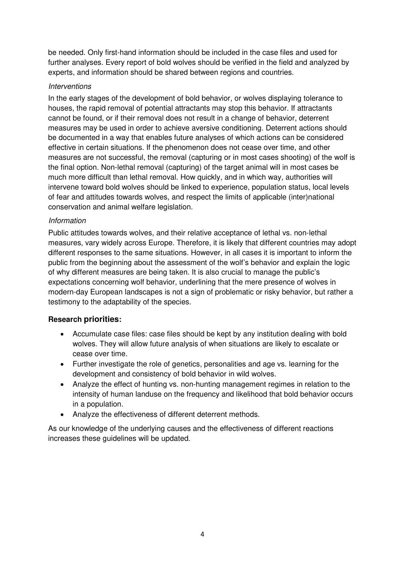be needed. Only first-hand information should be included in the case files and used for further analyses. Every report of bold wolves should be verified in the field and analyzed by experts, and information should be shared between regions and countries.

#### **Interventions**

In the early stages of the development of bold behavior, or wolves displaying tolerance to houses, the rapid removal of potential attractants may stop this behavior. If attractants cannot be found, or if their removal does not result in a change of behavior, deterrent measures may be used in order to achieve aversive conditioning. Deterrent actions should be documented in a way that enables future analyses of which actions can be considered effective in certain situations. If the phenomenon does not cease over time, and other measures are not successful, the removal (capturing or in most cases shooting) of the wolf is the final option. Non-lethal removal (capturing) of the target animal will in most cases be much more difficult than lethal removal. How quickly, and in which way, authorities will intervene toward bold wolves should be linked to experience, population status, local levels of fear and attitudes towards wolves, and respect the limits of applicable (inter)national conservation and animal welfare legislation.

#### Information

Public attitudes towards wolves, and their relative acceptance of lethal vs. non-lethal measures, vary widely across Europe. Therefore, it is likely that different countries may adopt different responses to the same situations. However, in all cases it is important to inform the public from the beginning about the assessment of the wolf's behavior and explain the logic of why different measures are being taken. It is also crucial to manage the public's expectations concerning wolf behavior, underlining that the mere presence of wolves in modern-day European landscapes is not a sign of problematic or risky behavior, but rather a testimony to the adaptability of the species.

#### **Research priorities:**

- Accumulate case files: case files should be kept by any institution dealing with bold wolves. They will allow future analysis of when situations are likely to escalate or cease over time.
- Further investigate the role of genetics, personalities and age vs. learning for the development and consistency of bold behavior in wild wolves.
- Analyze the effect of hunting vs. non-hunting management regimes in relation to the intensity of human landuse on the frequency and likelihood that bold behavior occurs in a population.
- Analyze the effectiveness of different deterrent methods.

As our knowledge of the underlying causes and the effectiveness of different reactions increases these guidelines will be updated.